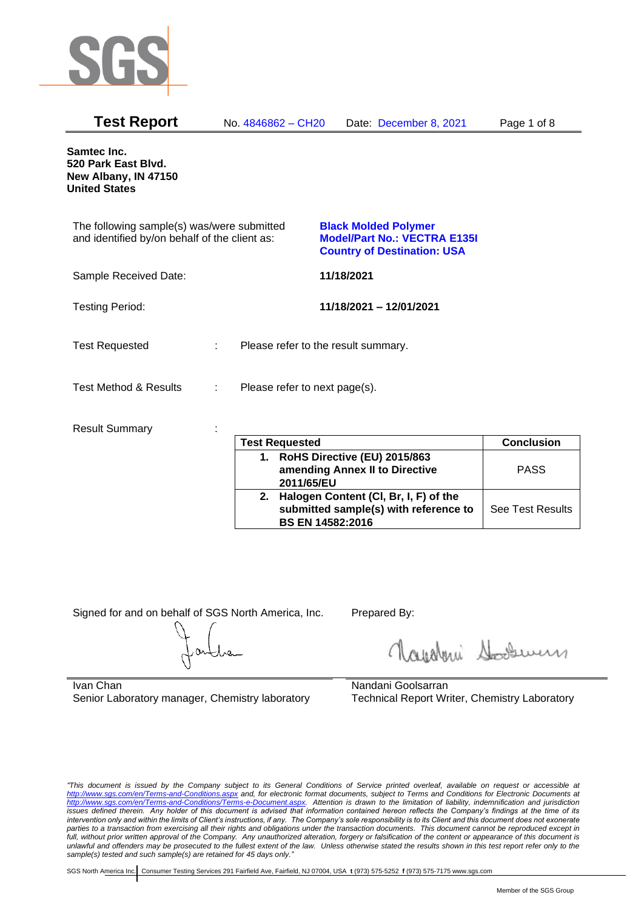

| <b>Test Report</b>                                                                          |   | No. 4846862 - CH20            | Date: December 8, 2021                                                                                   | Page 1 of 8 |
|---------------------------------------------------------------------------------------------|---|-------------------------------|----------------------------------------------------------------------------------------------------------|-------------|
| Samtec Inc.<br>520 Park East Blvd.<br>New Albany, IN 47150<br><b>United States</b>          |   |                               |                                                                                                          |             |
| The following sample(s) was/were submitted<br>and identified by/on behalf of the client as: |   |                               | <b>Black Molded Polymer</b><br><b>Model/Part No.: VECTRA E135I</b><br><b>Country of Destination: USA</b> |             |
| Sample Received Date:                                                                       |   |                               | 11/18/2021                                                                                               |             |
| <b>Testing Period:</b>                                                                      |   |                               | 11/18/2021 - 12/01/2021                                                                                  |             |
| <b>Test Requested</b>                                                                       | ÷ |                               | Please refer to the result summary.                                                                      |             |
| <b>Test Method &amp; Results</b>                                                            | ÷ | Please refer to next page(s). |                                                                                                          |             |
| <b>Result Summary</b>                                                                       |   | Toot Docupator                |                                                                                                          | Canalusian  |

| <b>Test Requested</b>                                                                                        | <b>Conclusion</b>       |
|--------------------------------------------------------------------------------------------------------------|-------------------------|
| 1. RoHS Directive (EU) 2015/863<br>amending Annex II to Directive<br>2011/65/EU                              | <b>PASS</b>             |
| 2. Halogen Content (CI, Br, I, F) of the<br>submitted sample(s) with reference to<br><b>BS EN 14582:2016</b> | <b>See Test Results</b> |

Signed for and on behalf of SGS North America, Inc. Prepared By:

Royalmi Souri

Ivan Chan Senior Laboratory manager, Chemistry laboratory

Nandani Goolsarran Technical Report Writer, Chemistry Laboratory

*"This document is issued by the Company subject to its General Conditions of Service printed overleaf, available on request or accessible at <http://www.sgs.com/en/Terms-and-Conditions.aspx> and, for electronic format documents, subject to Terms and Conditions for Electronic Documents at [http://www.sgs.com/en/Terms-and-Conditions/Terms-e-Document.aspx.](http://www.sgs.com/en/Terms-and-Conditions/Terms-e-Document.aspx) Attention is drawn to the limitation of liability, indemnification and jurisdiction issues defined therein. Any holder of this document is advised that information contained hereon reflects the Company's findings at the time of its intervention only and within the limits of Client's instructions, if any. The Company's sole responsibility is to its Client and this document does not exonerate parties to a transaction from exercising all their rights and obligations under the transaction documents. This document cannot be reproduced except in full, without prior written approval of the Company. Any unauthorized alteration, forgery or falsification of the content or appearance of this document is unlawful and offenders may be prosecuted to the fullest extent of the law. Unless otherwise stated the results shown in this test report refer only to the sample(s) tested and such sample(s) are retained for 45 days only."*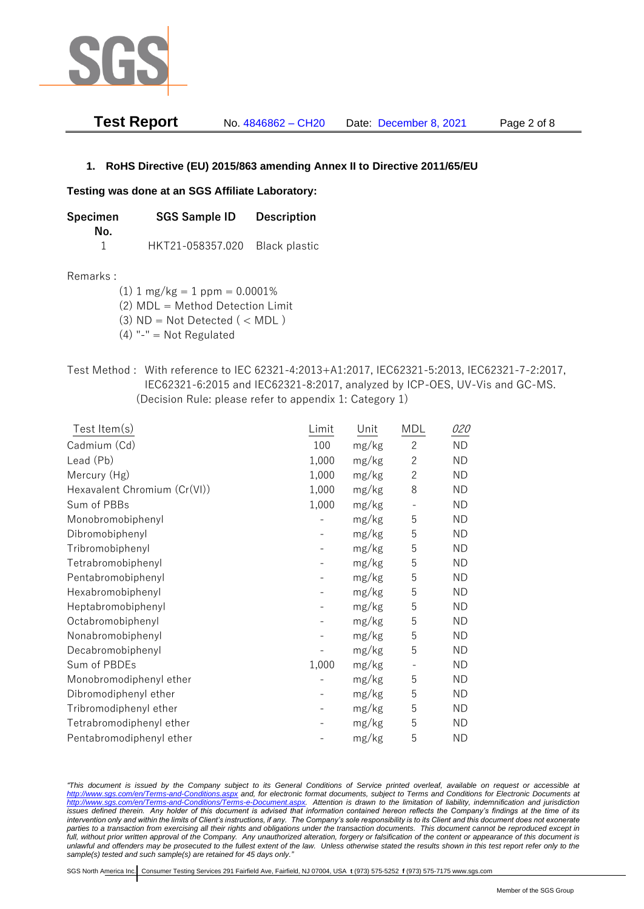

| <b>Test Report</b> | No. 4846862 - CH20 | Date: December 8, 2021 | Page 2 of 8 |
|--------------------|--------------------|------------------------|-------------|
|--------------------|--------------------|------------------------|-------------|

## **1. RoHS Directive (EU) 2015/863 amending Annex II to Directive 2011/65/EU**

## **Testing was done at an SGS Affiliate Laboratory:**

| Specimen<br>No. | <b>SGS Sample ID</b> | <b>Description</b> |
|-----------------|----------------------|--------------------|
|                 | HKT21-058357.020     | Black plastic      |

## Remarks :

(1)  $1 \text{ mg/kg} = 1 \text{ ppm} = 0.0001\%$ 

(2) MDL = Method Detection Limit

- (3)  $ND = Not detected$  ( < MDL)
- (4) "-" = Not Regulated
- Test Method : With reference to IEC 62321-4:2013+A1:2017, IEC62321-5:2013, IEC62321-7-2:2017, IEC62321-6:2015 and IEC62321-8:2017, analyzed by ICP-OES, UV-Vis and GC-MS. (Decision Rule: please refer to appendix 1: Category 1)

| Test Item(s)                 | Limit | Unit  | MDL            | <i>020</i> |
|------------------------------|-------|-------|----------------|------------|
| Cadmium (Cd)                 | 100   | mg/kg | $\overline{c}$ | <b>ND</b>  |
| Lead (Pb)                    | 1,000 | mg/kg | $\overline{2}$ | <b>ND</b>  |
| Mercury (Hg)                 | 1,000 | mg/kg | $\overline{c}$ | <b>ND</b>  |
| Hexavalent Chromium (Cr(VI)) | 1,000 | mg/kg | 8              | <b>ND</b>  |
| Sum of PBBs                  | 1,000 | mg/kg |                | <b>ND</b>  |
| Monobromobiphenyl            |       | mg/kg | 5              | <b>ND</b>  |
| Dibromobiphenyl              |       | mg/kg | 5              | <b>ND</b>  |
| Tribromobiphenyl             |       | mg/kg | 5              | <b>ND</b>  |
| Tetrabromobiphenyl           |       | mg/kg | 5              | <b>ND</b>  |
| Pentabromobiphenyl           |       | mg/kg | 5              | <b>ND</b>  |
| Hexabromobiphenyl            |       | mg/kg | 5              | <b>ND</b>  |
| Heptabromobiphenyl           |       | mg/kg | 5              | <b>ND</b>  |
| Octabromobiphenyl            |       | mg/kg | 5              | <b>ND</b>  |
| Nonabromobiphenyl            |       | mg/kg | 5              | <b>ND</b>  |
| Decabromobiphenyl            |       | mg/kg | 5              | <b>ND</b>  |
| Sum of PBDEs                 | 1,000 | mg/kg |                | ND         |
| Monobromodiphenyl ether      |       | mg/kg | 5              | <b>ND</b>  |
| Dibromodiphenyl ether        |       | mg/kg | 5              | <b>ND</b>  |
| Tribromodiphenyl ether       |       | mg/kg | 5              | <b>ND</b>  |
| Tetrabromodiphenyl ether     |       | mg/kg | 5              | <b>ND</b>  |
| Pentabromodiphenyl ether     |       | mg/kg | 5              | <b>ND</b>  |

*"This document is issued by the Company subject to its General Conditions of Service printed overleaf, available on request or accessible at <http://www.sgs.com/en/Terms-and-Conditions.aspx> and, for electronic format documents, subject to Terms and Conditions for Electronic Documents at [http://www.sgs.com/en/Terms-and-Conditions/Terms-e-Document.aspx.](http://www.sgs.com/en/Terms-and-Conditions/Terms-e-Document.aspx) Attention is drawn to the limitation of liability, indemnification and jurisdiction issues defined therein. Any holder of this document is advised that information contained hereon reflects the Company's findings at the time of its intervention only and within the limits of Client's instructions, if any. The Company's sole responsibility is to its Client and this document does not exonerate*  parties to a transaction from exercising all their rights and obligations under the transaction documents. This document cannot be reproduced except in *full, without prior written approval of the Company. Any unauthorized alteration, forgery or falsification of the content or appearance of this document is unlawful and offenders may be prosecuted to the fullest extent of the law. Unless otherwise stated the results shown in this test report refer only to the sample(s) tested and such sample(s) are retained for 45 days only."*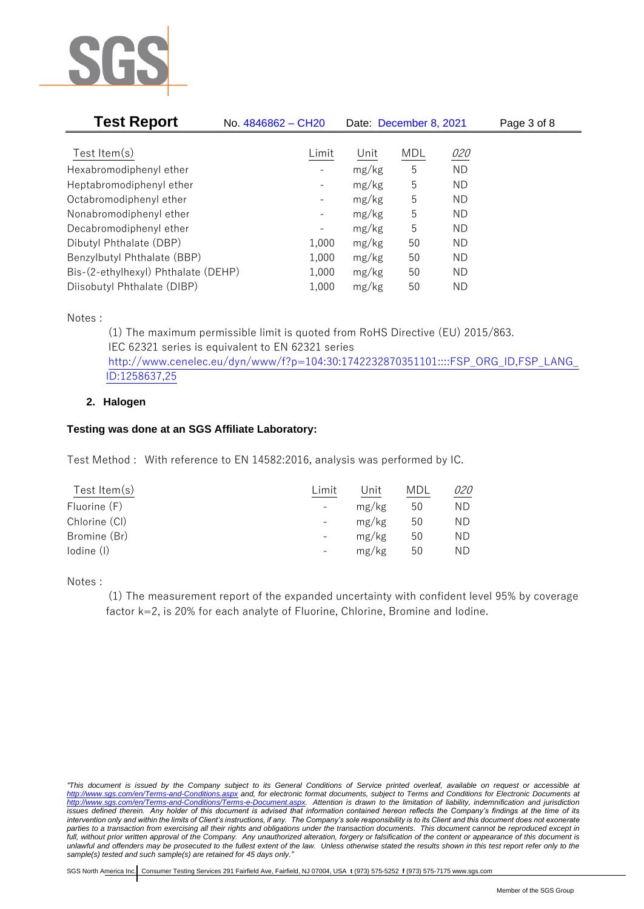

| <b>Test Report</b>                  | No. 4846862 - CH20           | Date: December 8, 2021 |            |           | Page 3 of 8 |
|-------------------------------------|------------------------------|------------------------|------------|-----------|-------------|
|                                     |                              |                        |            |           |             |
| Test Item $(s)$                     | Limit                        | Unit                   | <b>MDL</b> | 020       |             |
| Hexabromodiphenyl ether             |                              | mg/kg                  | 5          | <b>ND</b> |             |
| Heptabromodiphenyl ether            |                              | mg/kg                  | 5          | ND        |             |
| Octabromodiphenyl ether             | -                            | mg/kg                  | 5          | ND        |             |
| Nonabromodiphenyl ether             | $\qquad \qquad -$            | mg/kg                  | 5          | ND        |             |
| Decabromodiphenyl ether             | $\qquad \qquad \blacksquare$ | mg/kg                  | 5          | ND        |             |
| Dibutyl Phthalate (DBP)             | 1,000                        | mg/kg                  | 50         | ND        |             |
| Benzylbutyl Phthalate (BBP)         | 1,000                        | mg/kg                  | 50         | ND        |             |
| Bis-(2-ethylhexyl) Phthalate (DEHP) | 1,000                        | mg/kg                  | 50         | ND.       |             |
| Diisobutyl Phthalate (DIBP)         | 1,000                        | mg/kg                  | 50         | ΝD        |             |

Notes :

(1) The maximum permissible limit is quoted from RoHS Directive (EU) 2015/863. IEC 62321 series is equivalent to EN 62321 series [http://www.cenelec.eu/dyn/www/f?p=104:30:1742232870351101::::FSP\\_ORG\\_ID,FSP\\_LANG\\_](http://www.cenelec.eu/dyn/www/f?p=104:30:1742232870351101::::FSP_ORG_ID,FSP_LANG_ID:1258637,25) [ID:1258637,25](http://www.cenelec.eu/dyn/www/f?p=104:30:1742232870351101::::FSP_ORG_ID,FSP_LANG_ID:1258637,25)

## **2. Halogen**

## **Testing was done at an SGS Affiliate Laboratory:**

Test Method : With reference to EN 14582:2016, analysis was performed by IC.

| Test Item $(s)$ | Limit                    | Unit  | MDL | <i>020</i> |
|-----------------|--------------------------|-------|-----|------------|
| Fluorine (F)    |                          | mg/kg | 50  | ΝD         |
| Chlorine (CI)   | $\overline{\phantom{a}}$ | mg/kg | 50  | ΝD         |
| Bromine (Br)    |                          | mg/kg | 50  | ΝD         |
| lodine (I)      |                          | mg/kg | 50  | ΝD         |
|                 |                          |       |     |            |

Notes :

(1) The measurement report of the expanded uncertainty with confident level 95% by coverage factor k=2, is 20% for each analyte of Fluorine, Chlorine, Bromine and Iodine.

*<sup>&</sup>quot;This document is issued by the Company subject to its General Conditions of Service printed overleaf, available on request or accessible at <http://www.sgs.com/en/Terms-and-Conditions.aspx> and, for electronic format documents, subject to Terms and Conditions for Electronic Documents at [http://www.sgs.com/en/Terms-and-Conditions/Terms-e-Document.aspx.](http://www.sgs.com/en/Terms-and-Conditions/Terms-e-Document.aspx) Attention is drawn to the limitation of liability, indemnification and jurisdiction issues defined therein. Any holder of this document is advised that information contained hereon reflects the Company's findings at the time of its intervention only and within the limits of Client's instructions, if any. The Company's sole responsibility is to its Client and this document does not exonerate*  parties to a transaction from exercising all their rights and obligations under the transaction documents. This document cannot be reproduced except in *full, without prior written approval of the Company. Any unauthorized alteration, forgery or falsification of the content or appearance of this document is unlawful and offenders may be prosecuted to the fullest extent of the law. Unless otherwise stated the results shown in this test report refer only to the sample(s) tested and such sample(s) are retained for 45 days only."*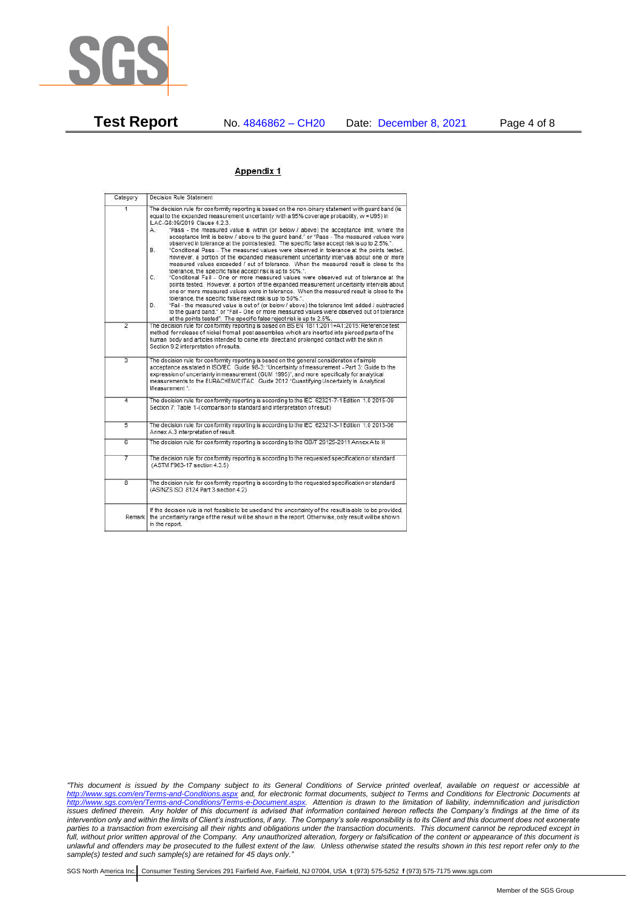

**Test Report** No. 4846862 – CH20 Date: December 8, 2021 Page 4 of 8

## Appendix 1

| Category       | Decision Rule Statement                                                                                                                                                                                                                                                                                                                                                                                                                                                                                                                                                                                                                                                                                                                                                                                                                                                                                                                                                                                                                                                                                                                                                                                                                                                                                                                                                                                                                                                                                           |
|----------------|-------------------------------------------------------------------------------------------------------------------------------------------------------------------------------------------------------------------------------------------------------------------------------------------------------------------------------------------------------------------------------------------------------------------------------------------------------------------------------------------------------------------------------------------------------------------------------------------------------------------------------------------------------------------------------------------------------------------------------------------------------------------------------------------------------------------------------------------------------------------------------------------------------------------------------------------------------------------------------------------------------------------------------------------------------------------------------------------------------------------------------------------------------------------------------------------------------------------------------------------------------------------------------------------------------------------------------------------------------------------------------------------------------------------------------------------------------------------------------------------------------------------|
| $\overline{1}$ | The decision rule for conformity reporting is based on the non-binary statement with quard band (is<br>equal to the expanded measurement uncertainty with a 95% coverage probability, w = U95) in<br>ILAC-G8:09/2019 Clause 4.2.3.<br>"Pass - the measured value is within (or below / above) the acceptance limit, where the<br>А.<br>acceptance limit is below / above to the quard band." or "Pass - The measured values were<br>observed in tolerance at the points tested. The specific false accept risk is up to 2.5%.".<br>B.<br>"Conditional Pass - The measured values were observed in tolerance at the points tested.<br>However, a portion of the expanded measurement uncertainty intervals about one or more<br>measured values exceeded / out of tolerance. When the measured result is close to the<br>tolerance, the specific false accept risk is up to 50%."<br>C.<br>"Conditional Fail - One or more measured values were observed out of tolerance at the<br>points tested. However, a portion of the expanded measurement uncertainty intervals about<br>one or more measured values were in tolerance. When the measured result is close to the<br>tolerance, the specific false reject risk is up to 50%.".<br>"Fail - the measured value is out of (or below / above) the tolerance limit added / subtracted<br>D.<br>to the quard band." or "Fail - One or more measured values were observed out of tolerance<br>at the points tested". The specific false reject risk is up to 2.5%. |
| $\overline{2}$ | The decision rule for conformity reporting is based on BS EN 1811:2011+A1:2015: Reference test<br>method for release of nickel from all post assemblies which are inserted into pierced parts of the<br>human body and articles intended to come into direct and prolonged contact with the skin in<br>Section 9.2 interpretation of results.                                                                                                                                                                                                                                                                                                                                                                                                                                                                                                                                                                                                                                                                                                                                                                                                                                                                                                                                                                                                                                                                                                                                                                     |
| $\overline{3}$ | The decision rule for conformity reporting is based on the general consideration of simple<br>acceptance as stated in ISO/IEC Guide 98-3: "Uncertainty of measurement - Part 3: Guide to the<br>expression of uncertainty in measurement (GUM 1995)", and more specifically for analytical<br>measurements to the EURACHEM/CITAC Guide 2012 "Quantifying Uncertainty in Analytical<br>Measurement *                                                                                                                                                                                                                                                                                                                                                                                                                                                                                                                                                                                                                                                                                                                                                                                                                                                                                                                                                                                                                                                                                                               |
| 4              | The decision rule for conformity reporting is according to the IEC 62321-7-1 Edition 1.0 2015-09<br>Section 7: Table 1-(comparison to standard and interpretation of result)                                                                                                                                                                                                                                                                                                                                                                                                                                                                                                                                                                                                                                                                                                                                                                                                                                                                                                                                                                                                                                                                                                                                                                                                                                                                                                                                      |
| $\overline{5}$ | The decision rule for conformity reporting is according to the IEC 62321-3-1 Edition 1.0 2013-06<br>Annex A.3 interpretation of result.                                                                                                                                                                                                                                                                                                                                                                                                                                                                                                                                                                                                                                                                                                                                                                                                                                                                                                                                                                                                                                                                                                                                                                                                                                                                                                                                                                           |
| 6              | The decision rule for conformity reporting is according to the GB/T 26125-2011 Annex A to H                                                                                                                                                                                                                                                                                                                                                                                                                                                                                                                                                                                                                                                                                                                                                                                                                                                                                                                                                                                                                                                                                                                                                                                                                                                                                                                                                                                                                       |
| 7              | The decision rule for conformity reporting is according to the requested specification or standard<br>(ASTM F963-17 section 4.3.5)                                                                                                                                                                                                                                                                                                                                                                                                                                                                                                                                                                                                                                                                                                                                                                                                                                                                                                                                                                                                                                                                                                                                                                                                                                                                                                                                                                                |
| $\overline{8}$ | The decision rule for conformity reporting is according to the requested specification or standard<br>(AS/NZS ISO 8124 Part 3 section 4.2)                                                                                                                                                                                                                                                                                                                                                                                                                                                                                                                                                                                                                                                                                                                                                                                                                                                                                                                                                                                                                                                                                                                                                                                                                                                                                                                                                                        |
|                | If the decision rule is not feasible to be used and the uncertainty of the result is able to be provided,<br>Remark the uncertainty range of the result will be shown in the report. Otherwise, only result will be shown<br>in the report.                                                                                                                                                                                                                                                                                                                                                                                                                                                                                                                                                                                                                                                                                                                                                                                                                                                                                                                                                                                                                                                                                                                                                                                                                                                                       |

*"This document is issued by the Company subject to its General Conditions of Service printed overleaf, available on request or accessible at <http://www.sgs.com/en/Terms-and-Conditions.aspx> and, for electronic format documents, subject to Terms and Conditions for Electronic Documents at [http://www.sgs.com/en/Terms-and-Conditions/Terms-e-Document.aspx.](http://www.sgs.com/en/Terms-and-Conditions/Terms-e-Document.aspx) Attention is drawn to the limitation of liability, indemnification and jurisdiction issues defined therein. Any holder of this document is advised that information contained hereon reflects the Company's findings at the time of its intervention only and within the limits of Client's instructions, if any. The Company's sole responsibility is to its Client and this document does not exonerate parties to a transaction from exercising all their rights and obligations under the transaction documents. This document cannot be reproduced except in full, without prior written approval of the Company. Any unauthorized alteration, forgery or falsification of the content or appearance of this document is unlawful and offenders may be prosecuted to the fullest extent of the law. Unless otherwise stated the results shown in this test report refer only to the sample(s) tested and such sample(s) are retained for 45 days only."*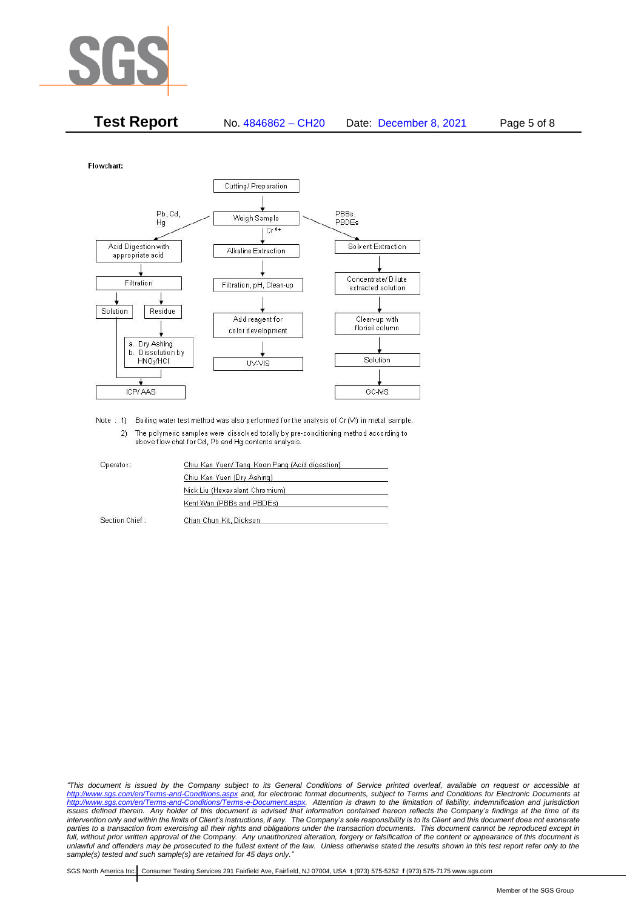

| <b>Test Report</b> | No. 4846862 - CH20 | Date: December 8, 2021 | Page 5 of 8 |
|--------------------|--------------------|------------------------|-------------|
|--------------------|--------------------|------------------------|-------------|

Flowchart:



Note : 1) Boiling water test method was also performed for the analysis of Cr (VI) in metal sample. 2) The polymeric samples were dissolved totally by pre-conditioning method according to above flow chat for Cd, Pb and Hg contents analysis

| Operator:      | Chiu Kan Yuen/ Tang Koon Pang (Acid digestion) |  |
|----------------|------------------------------------------------|--|
|                | Chiu Kan Yuen (Dry Ashing)                     |  |
|                | Nick Liu (Hexavalent Chromium)                 |  |
|                | Kent Wan (PBBs and PBDEs)                      |  |
| Section Chief: | Chan Chun Kit, Dickson                         |  |

*"This document is issued by the Company subject to its General Conditions of Service printed overleaf, available on request or accessible at <http://www.sgs.com/en/Terms-and-Conditions.aspx> and, for electronic format documents, subject to Terms and Conditions for Electronic Documents at [http://www.sgs.com/en/Terms-and-Conditions/Terms-e-Document.aspx.](http://www.sgs.com/en/Terms-and-Conditions/Terms-e-Document.aspx) Attention is drawn to the limitation of liability, indemnification and jurisdiction issues defined therein. Any holder of this document is advised that information contained hereon reflects the Company's findings at the time of its intervention only and within the limits of Client's instructions, if any. The Company's sole responsibility is to its Client and this document does not exonerate*  parties to a transaction from exercising all their rights and obligations under the transaction documents. This document cannot be reproduced except in *full, without prior written approval of the Company. Any unauthorized alteration, forgery or falsification of the content or appearance of this document is unlawful and offenders may be prosecuted to the fullest extent of the law. Unless otherwise stated the results shown in this test report refer only to the sample(s) tested and such sample(s) are retained for 45 days only."*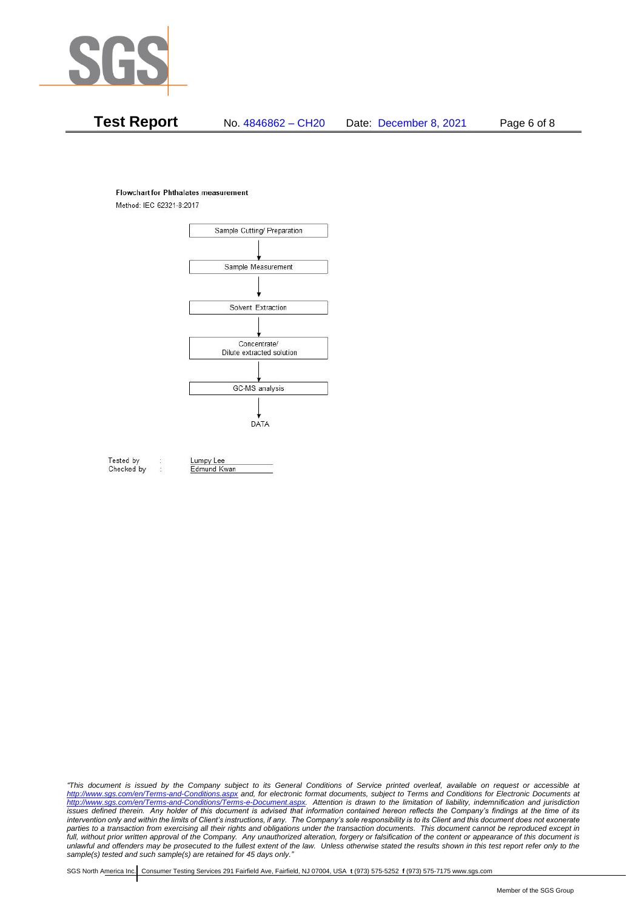

# **Test Report** No. 4846862 – CH20 Date: December 8, 2021 Page 6 of 8

#### **Flowchart for Phthalates measurement**

Method: IEC 62321-8:2017



Tested by Checked by Lumpy Lee

Edmund Kwan

*"This document is issued by the Company subject to its General Conditions of Service printed overleaf, available on request or accessible at <http://www.sgs.com/en/Terms-and-Conditions.aspx> and, for electronic format documents, subject to Terms and Conditions for Electronic Documents at [http://www.sgs.com/en/Terms-and-Conditions/Terms-e-Document.aspx.](http://www.sgs.com/en/Terms-and-Conditions/Terms-e-Document.aspx) Attention is drawn to the limitation of liability, indemnification and jurisdiction issues defined therein. Any holder of this document is advised that information contained hereon reflects the Company's findings at the time of its intervention only and within the limits of Client's instructions, if any. The Company's sole responsibility is to its Client and this document does not exonerate*  parties to a transaction from exercising all their rights and obligations under the transaction documents. This document cannot be reproduced except in *full, without prior written approval of the Company. Any unauthorized alteration, forgery or falsification of the content or appearance of this document is unlawful and offenders may be prosecuted to the fullest extent of the law. Unless otherwise stated the results shown in this test report refer only to the sample(s) tested and such sample(s) are retained for 45 days only."*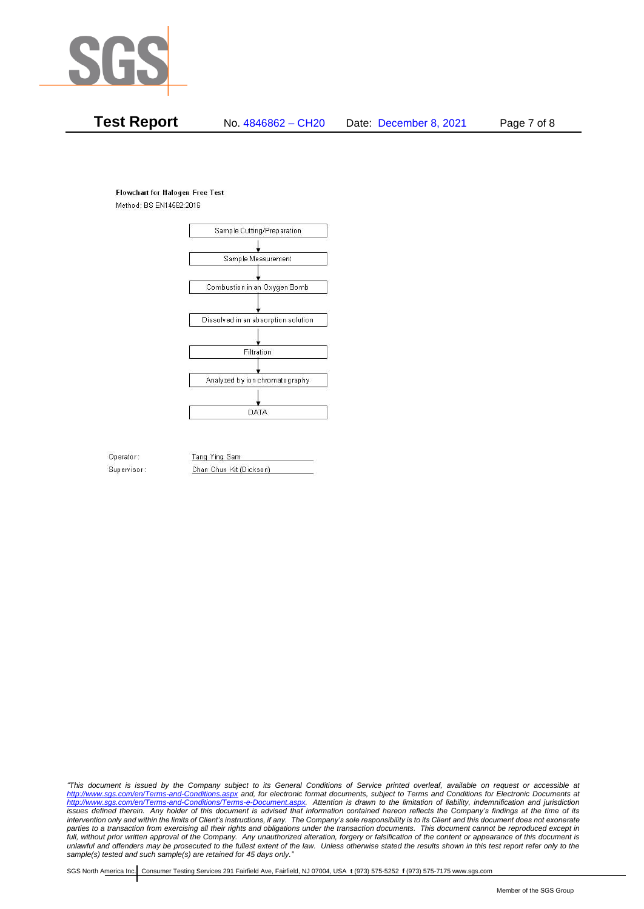

# **Test Report** No. 4846862 – CH20 Date: December 8, 2021 Page 7 of 8

### **Flowchart for Halogen Free Test**

Method: BS EN14582:2016



Operator: Supervisor: Tang Ying Sam Chan Chun Kit (Dickson)

*"This document is issued by the Company subject to its General Conditions of Service printed overleaf, available on request or accessible at <http://www.sgs.com/en/Terms-and-Conditions.aspx> and, for electronic format documents, subject to Terms and Conditions for Electronic Documents at [http://www.sgs.com/en/Terms-and-Conditions/Terms-e-Document.aspx.](http://www.sgs.com/en/Terms-and-Conditions/Terms-e-Document.aspx) Attention is drawn to the limitation of liability, indemnification and jurisdiction issues defined therein. Any holder of this document is advised that information contained hereon reflects the Company's findings at the time of its intervention only and within the limits of Client's instructions, if any. The Company's sole responsibility is to its Client and this document does not exonerate*  parties to a transaction from exercising all their rights and obligations under the transaction documents. This document cannot be reproduced except in *full, without prior written approval of the Company. Any unauthorized alteration, forgery or falsification of the content or appearance of this document is unlawful and offenders may be prosecuted to the fullest extent of the law. Unless otherwise stated the results shown in this test report refer only to the sample(s) tested and such sample(s) are retained for 45 days only."*